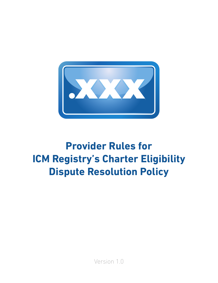

# **Provider Rules for ICM Registry's Charter Eligibility Dispute Resolution Policy**

Version 1.0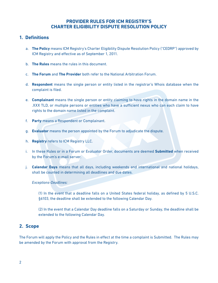# **PROVIDER RULES FOR ICM REGISTRY'S CHARTER ELIGIBILITY DISPUTE RESOLUTION POLICY**

## **1. Definitions**

- a. **The Policy** means ICM Registry's Charter Eligibility Dispute Resolution Policy ("CEDRP") approved by ICM Registry and effective as of September 1, 2011.
- b. **The Rules** means the rules in this document.
- c. **The Forum** and **The Provider** both refer to the National Arbitration Forum.
- d. **Respondent** means the single person or entity listed in the registrar's Whois database when the complaint is filed.
- e. **Complainant** means the single person or entity claiming to have rights in the domain name in the .XXX TLD, or multiple persons or entities who have a sufficient nexus who can each claim to have rights to the domain name listed in the complaint.
- f. **Party** means a Respondent or Complainant.
- g. **Evaluator** means the person appointed by the Forum to adjudicate the dispute.
- h. **Registry** refers to ICM Registry LLC.
- i. In these Rules or in a Forum or Evaluator Order, documents are deemed **Submitted** when received by the Forum's e-mail server.
- j. **Calendar Days** means that all days, including weekends and international and national holidays, shall be counted in determining all deadlines and due dates.

#### *Exceptions-Deadlines:*

(1) In the event that a deadline falls on a United States federal holiday, as defined by 5 U.S.C. §6103, the deadline shall be extended to the following Calendar Day.

(2) In the event that a Calendar Day deadline falls on a Saturday or Sunday, the deadline shall be extended to the following Calendar Day.

# **2. Scope**

The Forum will apply the Policy and the Rules in effect at the time a complaint is Submitted. The Rules may be amended by the Forum with approval from the Registry.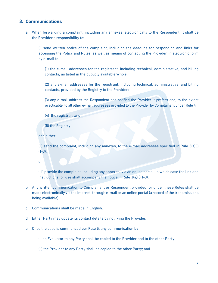## **3. Communications**

a. When forwarding a complaint, including any annexes, electronically to the Respondent, it shall be the Provider's responsibility to:

(i) send written notice of the complaint, including the deadline for responding and links for accessing the Policy and Rules, as well as means of contacting the Provider, in electronic form by e-mail to:

(1) the e-mail addresses for the registrant, including technical, administrative, and billing contacts, as listed in the publicly available Whois;

(2) any e-mail addresses for the registrant, including technical, administrative, and billing contacts, provided by the Registry to the Provider;

(3) any e-mail address the Respondent has notified the Provider it prefers and, to the extent practicable, to all other e-mail addresses provided to the Provider by Complainant under Rule 4;

(4) the registrar; and

(5) the Registry

and either

(ii) send the complaint, including any annexes, to the e-mail addresses specified in Rule 3(a)(i)  $(1-3);$ 

or

(iii) provide the complaint, including any annexes, via an online portal, in which case the link and instructions for use shall accompany the notice in Rule 3(a)(i)(1-3).

- b. Any written communication to Complainant or Respondent provided for under these Rules shall be made electronically via the Internet, through e-mail or an online portal (a record of the transmissions being available).
- c. Communications shall be made in English.
- d. Either Party may update its contact details by notifying the Provider.
- e. Once the case is commenced per Rule 5, any communication by

(i) an Evaluator to any Party shall be copied to the Provider and to the other Party;

(ii) the Provider to any Party shall be copied to the other Party; and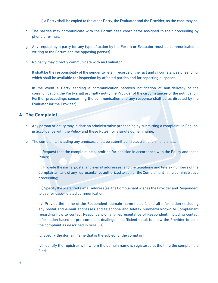(iii) a Party shall be copied to the other Party, the Evaluator and the Provider, as the case may be.

- f. The parties may communicate with the Forum case coordinator assigned to their proceeding by phone or e-mail.
- g. Any request by a party for any type of action by the Forum or Evaluator must be communicated in writing to the Forum and the opposing party(s).
- h. No party may directly communicate with an Evaluator.
- i. It shall be the responsibility of the sender to retain records of the fact and circumstances of sending, which shall be available for inspection by affected parties and for reporting purposes.
- j. In the event a Party sending a communication receives notification of non-delivery of the communication, the Party shall promptly notify the Provider of the circumstances of the notification. Further proceedings concerning the communication and any response shall be as directed by the Evaluator (or the Provider).

## **4. The Complaint**

- a. Any person or entity may initiate an administrative proceeding by submitting a complaint, in English, in accordance with the Policy and these Rules, for a single domain name.
- b. The complaint, including any annexes, shall be submitted in electronic form and shall:

(i) Request that the complaint be submitted for decision in accordance with the Policy and these Rules;

(ii) Provide the name, postal and e-mail addresses, and the telephone and telefax numbers of the Complainant and of any representative authorized to act for the Complainant in the administrative proceeding;

(iii) Specify the preferred e-mail address(es) the Complainant wishes the Provider and Respondent to use for case-related communication;

(iv) Provide the name of the Respondent (domain-name holder), and all information (including any postal and e-mail addresses and telephone and telefax numbers) known to Complainant regarding how to contact Respondent or any representative of Respondent, including contact information based on pre-complaint dealings, in sufficient detail to allow the Provider to send the complaint as described in Rule 3(a);

(v) Specify the domain name that is the subject of the complaint;

(vi) Identify the registrar with whom the domain name is registered at the time the complaint is filed;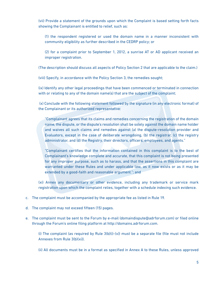(vii) Provide a statement of the grounds upon which the Complaint is based setting forth facts showing the Complainant is entitled to relief, such as:

(1) the respondent registered or used the domain name in a manner inconsistent with community eligibility as further described in the CEDRP policy; or

(2) for a complaint prior to September 1, 2012, a sunrise AT or AD applicant received an improper registration.

(The description should discuss all aspects of Policy Section 2 that are applicable to the claim.)

(viii) Specify, in accordance with the Policy Section 3, the remedies sought;

(ix) Identify any other legal proceedings that have been commenced or terminated in connection with or relating to any of the domain name(s) that are the subject of the complaint;

(x) Conclude with the following statement followed by the signature (in any electronic format) of the Complainant or its authorized representative:

"Complainant agrees that its claims and remedies concerning the registration of the domain name, the dispute, or the dispute's resolution shall be solely against the domain name holder and waives all such claims and remedies against (a) the dispute-resolution provider and Evaluators, except in the case of deliberate wrongdoing, (b) the registrar, (c) the registry administrator, and (d) the Registry, their directors, officers, employees, and agents."

"Complainant certifies that the information contained in this complaint is to the best of Complainant's knowledge complete and accurate, that this complaint is not being presented for any improper purpose, such as to harass, and that the assertions in this complaint are warranted under these Rules and under applicable law, as it now exists or as it may be extended by a good-faith and reasonable argument."; and

(xi) Annex any documentary or other evidence, including any trademark or service mark registration upon which the complaint relies, together with a schedule indexing such evidence.

- c. The complaint must be accompanied by the appropriate fee as listed in Rule 19.
- d. The complaint may not exceed fifteen (15) pages.
- e. The complaint must be sent to the Forum by e-mail (domaindispute@adrforum.com) or filed online through the Forum's online filing platform at http://domains.adrforum.com.

(i) The complaint (as required by Rule  $3(b)(i)-(x))$  must be a separate file (file must not include Annexes from Rule 3(b)(xi)).

(ii) All documents must be in a format as specified in Annex A to these Rules, unless approved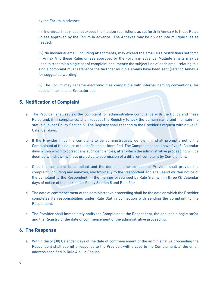by the Forum in advance.

(iii) Individual files must not exceed the file size restrictions as set forth in Annex A to these Rules unless approved by the Forum in advance. The Annexes may be divided into multiple files as needed.

(iv) No individual email, including attachments, may exceed the email size restrictions set forth in Annex A to these Rules unless approved by the Forum in advance. Multiple emails may be used to transmit a single set of complaint documents; the subject line of each email relating to a single complaint must reference the fact that multiple emails have been sent (refer to Annex A for suggested wording)

(v) The Forum may rename electronic files compatible with internal naming conventions, for ease of internal and Evaluator use.

# **5. Notification of Complaint**

- a. The Provider shall review the complaint for administrative compliance with the Policy and these Rules and, if in compliance, shall request the Registry to lock the domain name and maintain the status quo, per Policy Section 5. The Registry shall respond to the Provider's request within five (5) Calendar days.
- b. If the Provider finds the complaint to be administratively deficient, it shall promptly notify the Complainant of the nature of the deficiencies identified. The Complainant shall have five (5) Calendar days within which to correct any such deficiencies, after which the administrative proceeding will be deemed withdrawn without prejudice to submission of a different complaint by Complainant.
- c. Once the complaint is compliant and the domain name locked, the Provider shall provide the complaint, including any annexes, electronically to the Respondent and shall send written notice of the complaint to the Respondent, in the manner prescribed by Rule 3(a), within three (3) Calendar days of notice of the lock under Policy Section 5 and Rule 5(a).
- d. The date of commencement of the administrative proceeding shall be the date on which the Provider completes its responsibilities under Rule 3(a) in connection with sending the complaint to the Respondent.
- e. The Provider shall immediately notify the Complainant, the Respondent, the applicable registrar(s), and the Registry of the date of commencement of the administrative proceeding.

# **6. The Response**

a. Within thirty (30) Calendar days of the date of commencement of the administrative proceeding the Respondent shall submit a response to the Provider, with a copy to the Complainant, at the email address specified in Rule 4(b), in English.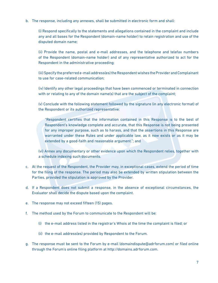b. The response, including any annexes, shall be submitted in electronic form and shall:

(i) Respond specifically to the statements and allegations contained in the complaint and include any and all bases for the Respondent (domain-name holder) to retain registration and use of the disputed domain name;

(ii) Provide the name, postal and e-mail addresses, and the telephone and telefax numbers of the Respondent (domain-name holder) and of any representative authorized to act for the Respondent in the administrative proceeding;

(iii) Specify the preferred e-mail address(es) the Respondent wishes the Provider and Complainant to use for case-related communication;

(iv) Identify any other legal proceedings that have been commenced or terminated in connection with or relating to any of the domain name(s) that are the subject of the complaint;

(v) Conclude with the following statement followed by the signature (in any electronic format) of the Respondent or its authorized representative:

"Respondent certifies that the information contained in this Response is to the best of Respondent's knowledge complete and accurate, that this Response is not being presented for any improper purpose, such as to harass, and that the assertions in this Response are warranted under these Rules and under applicable law, as it now exists or as it may be extended by a good-faith and reasonable argument."; and

(vi) Annex any documentary or other evidence upon which the Respondent relies, together with a schedule indexing such documents.

- c. At the request of the Respondent, the Provider may, in exceptional cases, extend the period of time for the filing of the response. The period may also be extended by written stipulation between the Parties, provided the stipulation is approved by the Provider.
- d. If a Respondent does not submit a response, in the absence of exceptional circumstances, the Evaluator shall decide the dispute based upon the complaint.
- e. The response may not exceed fifteen (15) pages.
- f. The method used by the Forum to communicate to the Respondent will be:
	- (i) the e-mail address listed in the registrar's Whois at the time the complaint is filed; or
	- (ii) the e-mail address(es) provided by Respondent to the Forum.
- g. The response must be sent to the Forum by e-mail (domaindispute@adrforum.com) or filed online through the Forum's online filing platform at http://domains.adrforum.com.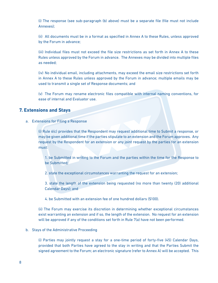(i) The response (see sub-paragraph (b) above) must be a separate file (file must not include Annexes);

(ii) All documents must be in a format as specified in Annex A to these Rules, unless approved by the Forum in advance;

(iii) Individual files must not exceed the file size restrictions as set forth in Annex A to these Rules unless approved by the Forum in advance. The Annexes may be divided into multiple files as needed;

(iv) No individual email, including attachments, may exceed the email size restrictions set forth in Annex A to these Rules unless approved by the Forum in advance; multiple emails may be used to transmit a single set of Response documents; and

(v) The Forum may rename electronic files compatible with internal naming conventions, for ease of internal and Evaluator use.

## **7. Extensions and Stays**

a. Extensions for Filing a Response

(i) Rule 6(c) provides that the Respondent may request additional time to Submit a response, or may be given additional time if the parties stipulate to an extension and the Forum approves. Any request by the Respondent for an extension or any joint request by the parties for an extension must:

1. be Submitted in writing to the Forum and the parties within the time for the Response to be Submitted;

2. state the exceptional circumstances warranting the request for an extension;

3. state the length of the extension being requested (no more than twenty (20) additional Calendar Days); and

4. be Submitted with an extension fee of one hundred dollars (\$100).

(ii) The Forum may exercise its discretion in determining whether exceptional circumstances exist warranting an extension and if so, the length of the extension. No request for an extension will be approved if any of the conditions set forth in Rule 7(a) have not been performed.

#### b. Stays of the Administrative Proceeding

(i) Parties may jointly request a stay for a one-time period of forty-five (45) Calendar Days, provided that both Parties have agreed to the stay in writing and that the Parties Submit the signed agreement to the Forum; an electronic signature (refer to Annex A) will be accepted. This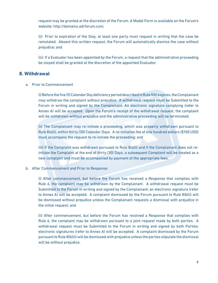request may be granted at the discretion of the Forum. A Model Form is available on the Forum's website: http://domains.adrforum.com;

(ii) Prior to expiration of the Stay, at least one party must request in writing that the case be reinstated. Absent this written request, the Forum will automatically dismiss the case without prejudice; and

(iii) If a Evaluator has been appointed by the Forum, a request that the administrative proceeding be stayed shall be granted at the discretion of the appointed Evaluator.

### **8. Withdrawal**

a. Prior to Commencement

(i)Before thefive(5)CalendarDaydeficiencyperioddescribedinRule5(b)expires,theComplainant may withdraw the complaint without prejudice. A withdrawal request must be Submitted to the Forum in writing and signed by the Complainant. An electronic signature complying (refer to Annex A) will be accepted. Upon the Forum's receipt of the withdrawal request, the complaint will be withdrawn without prejudice and the administrative proceeding will be terminated;

(ii) The Complainant may re-initiate a proceeding, which was properly withdrawn pursuant to Rule 8(a)(i), within thirty (30) Calendar Days. A re-initiation fee of one hundred dollars (\$100 USD) must accompany the request to re-initiate the proceeding; and

(iii) If the Complaint was withdrawn pursuant to Rule 8(a)(i) and if the Complainant does not reinitiate the Complaint at the end of thirty (30) Days, a subsequent Complaint will be treated as a new complaint and must be accompanied by payment of the appropriate fees.

b. After Commencement and Prior to Response:

(i) After commencement, but before the Forum has received a Response that complies with Rule 6, the complaint may be withdrawn by the Complainant. A withdrawal request must be Submitted to the Forum in writing and signed by the Complainant; an electronic signature (refer to Annex A) will be accepted. A complaint dismissed by the Forum pursuant to Rule 8(b)(i) will be dismissed without prejudice unless the Complainant requests a dismissal with prejudice in the initial request; and

(ii) After commencement, but before the Forum has received a Response that complies with Rule 6, the complaint may be withdrawn pursuant to a joint request made by both parties. A withdrawal request must be Submitted to the Forum in writing and signed by both Parties; electronic signatures (refer to Annex A) will be accepted. A complaint dismissed by the Forum pursuant to Rule 8(b)(ii) will be dismissed with prejudice unless the parties stipulate the dismissal will be without prejudice.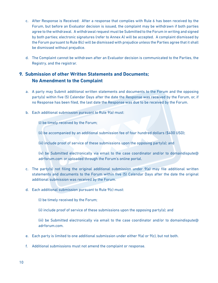- c. After Response is Received: After a response that complies with Rule 6 has been received by the Forum, but before an Evaluator decision is issued, the complaint may be withdrawn if both parties agree to the withdrawal. A withdrawal request must be Submitted to the Forum in writing and signed by both parties; electronic signatures (refer to Annex A) will be accepted. A complaint dismissed by the Forum pursuant to Rule 8(c) will be dismissed with prejudice unless the Parties agree that it shall be dismissed without prejudice.
- d. The Complaint cannot be withdrawn after an Evaluator decision is communicated to the Parties, the Registry, and the registrar.

# **9. Submission of other Written Statements and Documents; No Amendment to the Complaint**

- a. A party may Submit additional written statements and documents to the Forum and the opposing party(s) within five (5) Calendar Days after the date the Response was received by the Forum, or, if no Response has been filed, the last date the Response was due to be received by the Forum.
- b. Each additional submission pursuant to Rule 9(a) must:

(i) be timely received by the Forum;

(ii) be accompanied by an additional submission fee of four hundred dollars (\$400 USD);

(iii) include proof of service of these submissions upon the opposing party(s); and

(iv) be Submitted electronically via email to the case coordinator and/or to domaindispute@ adrforum.com or uploaded through the Forum's online portal.

- c. The party(s) not filing the original additional submission under  $9(a)$  may file additional written statements and documents to the Forum within five (5) Calendar Days after the date the original additional submission was received by the Forum.
- d. Each additional submission pursuant to Rule 9(c) must:

(i) be timely received by the Forum;

(ii) include proof of service of these submissions upon the opposing party(s); and

(iii) be Submitted electronically via email to the case coordinator and/or to domaindispute@ adrforum.com.

- e. Each party is limited to one additional submission under either  $9(a)$  or  $9(c)$ , but not both.
- f. Additional submissions must not amend the complaint or response.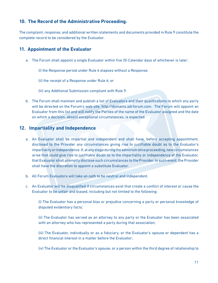# **10. The Record of the Administrative Proceeding.**

The complaint, response, and additional written statements and documents provided in Rule 9 constitute the complete record to be considered by the Evaluator.

# **11. Appointment of the Evaluator**

a. The Forum shall appoint a single Evaluator within five (5) Calendar days of whichever is later:

(i) the Response period under Rule 6 elapses without a Response;

(ii) the receipt of a Response under Rule 6; or

(iii) any Additional Submission compliant with Rule 9.

b. The Forum shall maintain and publish a list of Evaluators and their qualifications to which any party will be directed on the Forum's web site, http://domains.adrforum.com. The Forum will appoint an Evaluator from this list and will notify the Parties of the name of the Evaluator assigned and the date on which a decision, absent exceptional circumstances, is expected.

# **12. Impartiality and Independence**

- a. An Evaluator shall be impartial and independent and shall have, before accepting appointment, disclosed to the Provider any circumstances giving rise to justifiable doubt as to the Evaluator's impartiality or independence. If, at any stage during the administrative proceeding, new circumstances arise that could give rise to justifiable doubt as to the impartiality or independence of the Evaluator, that Evaluator shall promptly disclose such circumstances to the Provider. In such event, the Provider shall have the discretion to appoint a substitute Evaluator.
- b. All Forum Evaluators will take an oath to be neutral and independent.
- c. An Evaluator will be disqualified if circumstances exist that create a conflict of interest or cause the Evaluator to be unfair and biased, including but not limited to the following:

(i) The Evaluator has a personal bias or prejudice concerning a party or personal knowledge of disputed evidentiary facts;

(ii) The Evaluator has served as an attorney to any party or the Evaluator has been associated with an attorney who has represented a party during that association;

(iii) The Evaluator, individually or as a fiduciary, or the Evaluator's spouse or dependent has a direct financial interest in a matter before the Evaluator;

(iv) The Evaluator or the Evaluator's spouse, or a person within the third degree of relationship to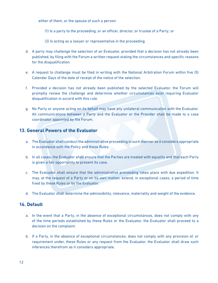either of them, or the spouse of such a person:

- (1) Is a party to the proceeding, or an officer, director, or trustee of a Party; or
- (2) Is acting as a lawyer or representative in the proceeding.
- d. A party may challenge the selection of an Evaluator, provided that a decision has not already been published, by filing with the Forum a written request stating the circumstances and specific reasons for the disqualification.
- e. A request to challenge must be filed in writing with the National Arbitration Forum within five (5) Calendar Days of the date of receipt of the notice of the selection.
- f. Provided a decision has not already been published by the selected Evaluator, the Forum will promptly review the challenge and determine whether circumstances exist requiring Evaluator disqualification in accord with this rule.
- g. No Party or anyone acting on its behalf may have any unilateral communication with the Evaluator. All communications between a Party and the Evaluator or the Provider shall be made to a case coordinator appointed by the Forum.

# **13. General Powers of the Evaluator**

- a. The Evaluator shall conduct the administrative proceeding in such manner as it considers appropriate in accordance with the Policy and these Rules.
- b. In all cases, the Evaluator shall ensure that the Parties are treated with equality and that each Party is given a fair opportunity to present its case.
- c. The Evaluator shall ensure that the administrative proceeding takes place with due expedition. It may, at the request of a Party or on its own motion, extend, in exceptional cases, a period of time fixed by these Rules or by the Evaluator.
- d. The Evaluator shall determine the admissibility, relevance, materiality and weight of the evidence.

### **14. Default**

- a. In the event that a Party, in the absence of exceptional circumstances, does not comply with any of the time periods established by these Rules or the Evaluator, the Evaluator shall proceed to a decision on the complaint.
- b. If a Party, in the absence of exceptional circumstances, does not comply with any provision of, or requirement under, these Rules or any request from the Evaluator, the Evaluator shall draw such inferences therefrom as it considers appropriate.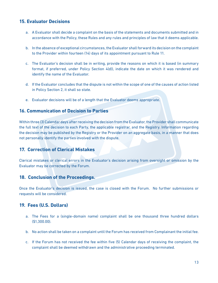# **15. Evaluator Decisions**

- a. A Evaluator shall decide a complaint on the basis of the statements and documents submitted and in accordance with the Policy, these Rules and any rules and principles of law that it deems applicable.
- b. In the absence of exceptional circumstances, the Evaluator shall forward its decision on the complaint to the Provider within fourteen (14) days of its appointment pursuant to Rule 11.
- c. The Evaluator's decision shall be in writing, provide the reasons on which it is based (in summary format, if preferred, under Policy Section 4(d)), indicate the date on which it was rendered and identify the name of the Evaluator.
- d. If the Evaluator concludes that the dispute is not within the scope of one of the causes of action listed in Policy Section 2, it shall so state.
- e. Evaluator decisions will be of a length that the Evaluator deems appropriate.

# **16. Communication of Decision to Parties**

Within three (3) Calendar days after receiving the decision from the Evaluator, the Provider shall communicate the full text of the decision to each Party, the applicable registrar, and the Registry. Information regarding the decision may be published by the Registry or the Provider on an aggregate basis, in a manner that does not personally identify the parties involved with the dispute.

# **17. Correction of Clerical Mistakes**

Clerical mistakes or clerical errors in the Evaluator's decision arising from oversight or omission by the Evaluator may be corrected by the Forum.

## **18. Conclusion of the Proceedings.**

Once the Evaluator's decision is issued, the case is closed with the Forum. No further submissions or requests will be considered.

# **19. Fees (U.S. Dollars)**

- a. The Fees for a (single-domain name) complaint shall be one thousand three hundred dollars (\$1,300.00).
- b. No action shall be taken on a complaint until the Forum has received from Complainant the initial fee.
- c. If the Forum has not received the fee within five (5) Calendar days of receiving the complaint, the complaint shall be deemed withdrawn and the administrative proceeding terminated.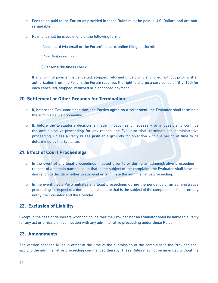- d. Fees to be paid to the Forum as provided in these Rules must be paid in U.S. Dollars and are nonrefundable.
- e. Payment shall be made in one of the following forms:
	- (i) Credit card (via email or the Forum's secure, online filing platform);
	- (ii) Certified check; or
	- (iii) Personal/business check.
- f. If any form of payment is cancelled, stopped, returned unpaid or dishonored, without prior written authorization from the Forum, the Forum reserves the right to charge a service fee of fifty (\$50) for each cancelled, stopped, returned or dishonored payment.

#### **20. Settlement or Other Grounds for Termination**

- a. If, before the Evaluator's decision, the Parties agree on a settlement, the Evaluator shall terminate the administrative proceeding.
- b. If, before the Evaluator's decision is made, it becomes unnecessary or impossible to continue the administrative proceeding for any reason, the Evaluator shall terminate the administrative proceeding, unless a Party raises justifiable grounds for objection within a period of time to be determined by the Evaluator.

# **21. Effect of Court Proceedings**

- a. In the event of any legal proceedings initiated prior to or during an administrative proceeding in respect of a domain name dispute that is the subject of the complaint, the Evaluator shall have the discretion to decide whether to suspend or terminate the administrative proceeding.
- b. In the event that a Party initiates any legal proceedings during the pendency of an administrative proceeding in respect of a domain name dispute that is the subject of the complaint, it shall promptly notify the Evaluator and the Provider.

### **22. Exclusion of Liability**

Except in the case of deliberate wrongdoing, neither the Provider nor an Evaluator shall be liable to a Party for any act or omission in connection with any administrative proceeding under these Rules.

## **23. Amendments**

The version of these Rules in effect at the time of the submission of the complaint to the Provider shall apply to the administrative proceeding commenced thereby. These Rules may not be amended without the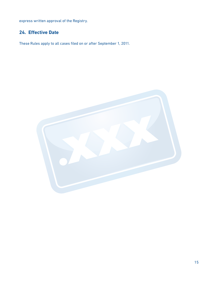express written approval of the Registry.

# **24. Effective Date**

These Rules apply to all cases filed on or after September 1, 2011.

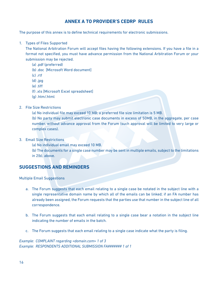# **ANNEX A TO PROVIDER'S CEDRP RULES**

The purpose of this annex is to define technical requirements for electronic submissions.

1. Types of Files Supported

The National Arbitration Forum will accept files having the following extensions. If you have a file in a format not specified, you must have advance permission from the National Arbitration Forum or your submission may be rejected.

- (a) .pdf (preferred)
- (b) .doc [Microsoft Word document]
- (c) .rtf
- (d) .jpg
- (e) .tiff
- (f) .xls [Microsoft Excel spreadsheet]
- (g) .htm/.html
- 2. File Size Restrictions

(a) No individual file may exceed 10 MB; a preferred file size limitation is 5 MB.

(b) No party may submit electronic case documents in excess of 50MB, in the aggregate, per case number, without advance approval from the Forum (such approval will be limited to very large or complex cases).

- 3. Email Size Restrictions
	- (a) No individual email may exceed 10 MB.

(b) The documents for a single case number may be sent in multiple emails, subject to the limitations in 2(b), above.

# **SUGGESTIONS AND REMINDERS**

Multiple Email Suggestions

- a. The Forum suggests that each email relating to a single case be notated in the subject line with a single representative domain name by which all of the emails can be linked; if an FA number has already been assigned, the Forum requests that the parties use that number in the subject line of all correspondence.
- b. The Forum suggests that each email relating to a single case bear a notation in the subject line indicating the number of emails in the batch.
- c. The Forum suggests that each email relating to a single case indicate what the party is filing.

*Example: COMPLAINT regarding <domain.com> 1 of 3 Example: RESPONDENTS ADDITIONAL SUBMISSION FA####### 1 of 1*